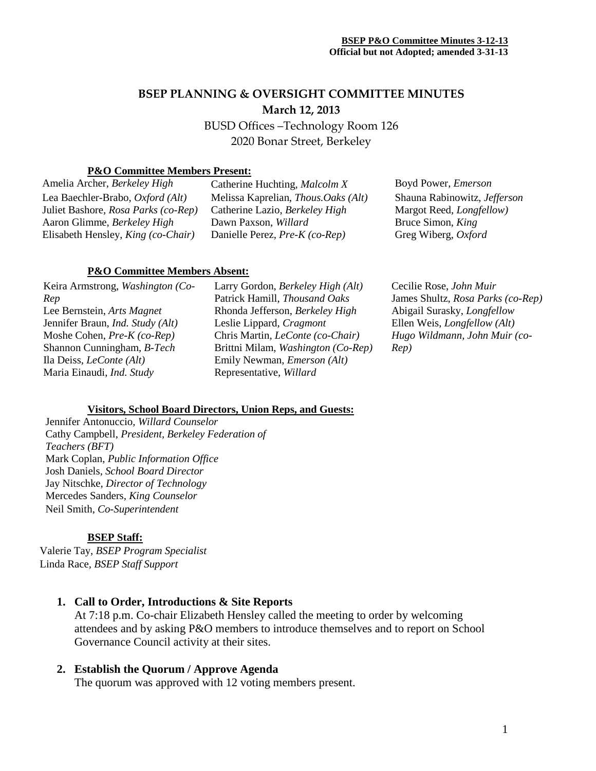# **BSEP PLANNING & OVERSIGHT COMMITTEE MINUTES March 12, 2013**

BUSD Offices –Technology Room 126 2020 Bonar Street, Berkeley

## **P&O Committee Members Present:**

Amelia Archer, *Berkeley High* Catherine Huchting, *Malcolm X* Boyd Power, *Emerson* Lea Baechler-Brabo, *Oxford (Alt)* Juliet Bashore, *Rosa Parks (co-Rep)* Aaron Glimme, *Berkeley High* Elisabeth Hensley, *King (co-Chair)*

Melissa Kaprelian, *Thous.Oaks (Alt)* Catherine Lazio, *Berkeley High* Dawn Paxson, *Willard* Danielle Perez, *Pre-K (co-Rep)*

#### **P&O Committee Members Absent:**

Keira Armstrong, *Washington (Co-Rep* Lee Bernstein, *Arts Magnet* Jennifer Braun, *Ind. Study (Alt)* Moshe Cohen, *Pre-K (co-Rep)* Shannon Cunningham, *B-Tech* Ila Deiss, *LeConte (Alt)* Maria Einaudi, *Ind. Study*

Larry Gordon, *Berkeley High (Alt)* Patrick Hamill, *Thousand Oaks* Rhonda Jefferson, *Berkeley High* Leslie Lippard, *Cragmont* Chris Martin, *LeConte (co-Chair)* Brittni Milam, *Washington (Co-Rep)* Emily Newman, *Emerson (Alt)* Representative, *Willard*

Shauna Rabinowitz, *Jefferson* Margot Reed, *Longfellow)* Bruce Simon, *King* Greg Wiberg, *Oxford*

Cecilie Rose, *John Muir* James Shultz, *Rosa Parks (co-Rep)* Abigail Surasky, *Longfellow* Ellen Weis, *Longfellow (Alt) Hugo Wildmann, John Muir (co-Rep)*

### **Visitors, School Board Directors, Union Reps, and Guests:**

Jennifer Antonuccio*, Willard Counselor* Cathy Campbell, *President, Berkeley Federation of Teachers (BFT)* Mark Coplan, *Public Information Office* Josh Daniels, *School Board Director* Jay Nitschke, *Director of Technology* Mercedes Sanders*, King Counselor* Neil Smith, *Co-Superintendent*

#### **BSEP Staff:**

Valerie Tay, *BSEP Program Specialist* Linda Race*, BSEP Staff Support*

**1. Call to Order, Introductions & Site Reports**

At 7:18 p.m. Co-chair Elizabeth Hensley called the meeting to order by welcoming attendees and by asking P&O members to introduce themselves and to report on School Governance Council activity at their sites.

## **2. Establish the Quorum / Approve Agenda**

The quorum was approved with 12 voting members present.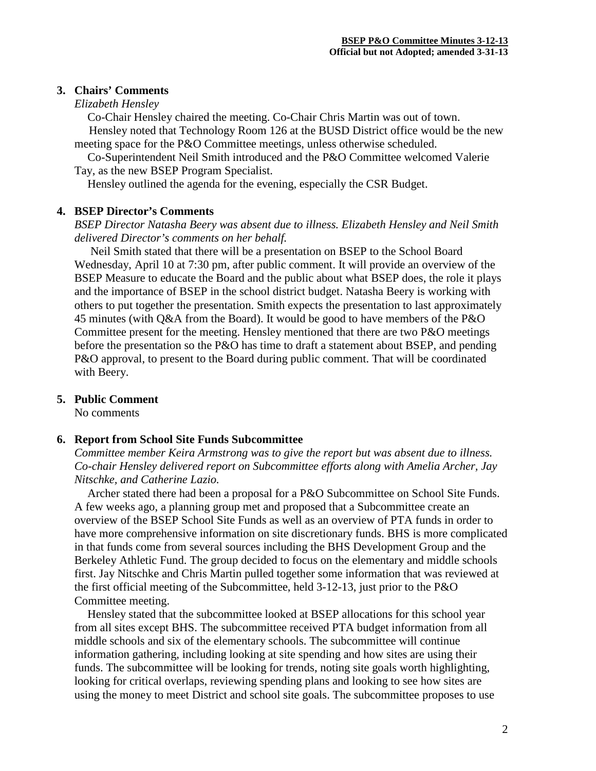#### **3. Chairs' Comments**

#### *Elizabeth Hensley*

Co-Chair Hensley chaired the meeting. Co-Chair Chris Martin was out of town.

 Hensley noted that Technology Room 126 at the BUSD District office would be the new meeting space for the P&O Committee meetings, unless otherwise scheduled.

Co-Superintendent Neil Smith introduced and the P&O Committee welcomed Valerie Tay, as the new BSEP Program Specialist.

Hensley outlined the agenda for the evening, especially the CSR Budget.

#### **4. BSEP Director's Comments**

*BSEP Director Natasha Beery was absent due to illness. Elizabeth Hensley and Neil Smith delivered Director's comments on her behalf.*

Neil Smith stated that there will be a presentation on BSEP to the School Board Wednesday, April 10 at 7:30 pm, after public comment. It will provide an overview of the BSEP Measure to educate the Board and the public about what BSEP does, the role it plays and the importance of BSEP in the school district budget. Natasha Beery is working with others to put together the presentation. Smith expects the presentation to last approximately 45 minutes (with Q&A from the Board). It would be good to have members of the P&O Committee present for the meeting. Hensley mentioned that there are two P&O meetings before the presentation so the P&O has time to draft a statement about BSEP, and pending P&O approval, to present to the Board during public comment. That will be coordinated with Beery.

### **5. Public Comment**

No comments

#### **6. Report from School Site Funds Subcommittee**

*Committee member Keira Armstrong was to give the report but was absent due to illness. Co-chair Hensley delivered report on Subcommittee efforts along with Amelia Archer, Jay Nitschke, and Catherine Lazio.*

Archer stated there had been a proposal for a P&O Subcommittee on School Site Funds. A few weeks ago, a planning group met and proposed that a Subcommittee create an overview of the BSEP School Site Funds as well as an overview of PTA funds in order to have more comprehensive information on site discretionary funds. BHS is more complicated in that funds come from several sources including the BHS Development Group and the Berkeley Athletic Fund. The group decided to focus on the elementary and middle schools first. Jay Nitschke and Chris Martin pulled together some information that was reviewed at the first official meeting of the Subcommittee, held 3-12-13, just prior to the P&O Committee meeting.

Hensley stated that the subcommittee looked at BSEP allocations for this school year from all sites except BHS. The subcommittee received PTA budget information from all middle schools and six of the elementary schools. The subcommittee will continue information gathering, including looking at site spending and how sites are using their funds. The subcommittee will be looking for trends, noting site goals worth highlighting, looking for critical overlaps, reviewing spending plans and looking to see how sites are using the money to meet District and school site goals. The subcommittee proposes to use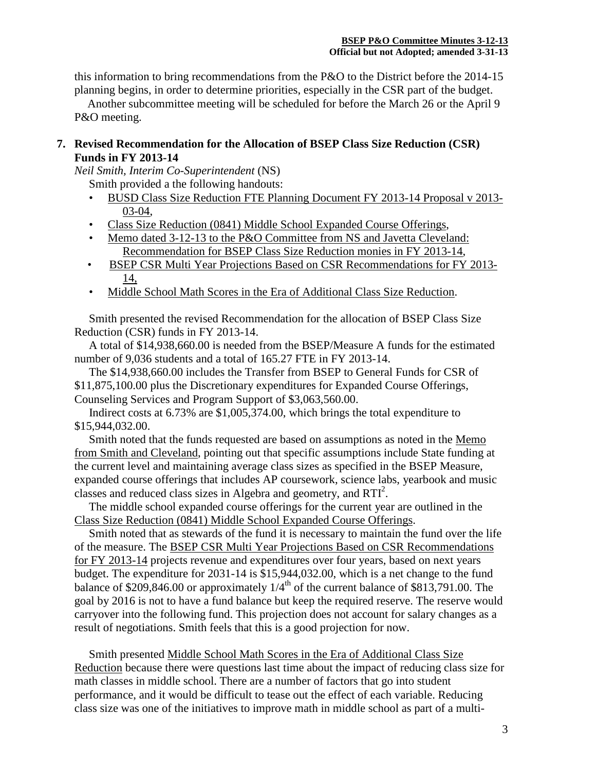this information to bring recommendations from the P&O to the District before the 2014-15 planning begins, in order to determine priorities, especially in the CSR part of the budget.

Another subcommittee meeting will be scheduled for before the March 26 or the April 9 P&O meeting.

### **7. Revised Recommendation for the Allocation of BSEP Class Size Reduction (CSR) Funds in FY 2013-14**

*Neil Smith, Interim Co-Superintendent* (NS)

Smith provided a the following handouts:

- BUSD Class Size Reduction FTE Planning Document FY 2013-14 Proposal v 2013- 03-04,
- Class Size Reduction (0841) Middle School Expanded Course Offerings,
- Memo dated 3-12-13 to the P&O Committee from NS and Javetta Cleveland: Recommendation for BSEP Class Size Reduction monies in FY 2013-14,
- BSEP CSR Multi Year Projections Based on CSR Recommendations for FY 2013- 14,
- Middle School Math Scores in the Era of Additional Class Size Reduction.

 Smith presented the revised Recommendation for the allocation of BSEP Class Size Reduction (CSR) funds in FY 2013-14.

 A total of \$14,938,660.00 is needed from the BSEP/Measure A funds for the estimated number of 9,036 students and a total of 165.27 FTE in FY 2013-14.

 The \$14,938,660.00 includes the Transfer from BSEP to General Funds for CSR of \$11,875,100.00 plus the Discretionary expenditures for Expanded Course Offerings, Counseling Services and Program Support of \$3,063,560.00.

 Indirect costs at 6.73% are \$1,005,374.00, which brings the total expenditure to \$15,944,032.00.

 Smith noted that the funds requested are based on assumptions as noted in the Memo from Smith and Cleveland, pointing out that specific assumptions include State funding at the current level and maintaining average class sizes as specified in the BSEP Measure, expanded course offerings that includes AP coursework, science labs, yearbook and music classes and reduced class sizes in Algebra and geometry, and RTI<sup>2</sup>.

 The middle school expanded course offerings for the current year are outlined in the Class Size Reduction (0841) Middle School Expanded Course Offerings.

 Smith noted that as stewards of the fund it is necessary to maintain the fund over the life of the measure. The BSEP CSR Multi Year Projections Based on CSR Recommendations for FY 2013-14 projects revenue and expenditures over four years, based on next years budget. The expenditure for 2031-14 is \$15,944,032.00, which is a net change to the fund balance of \$209,846.00 or approximately  $1/4^{\text{th}}$  of the current balance of \$813,791.00. The goal by 2016 is not to have a fund balance but keep the required reserve. The reserve would carryover into the following fund. This projection does not account for salary changes as a result of negotiations. Smith feels that this is a good projection for now.

Smith presented Middle School Math Scores in the Era of Additional Class Size Reduction because there were questions last time about the impact of reducing class size for math classes in middle school. There are a number of factors that go into student performance, and it would be difficult to tease out the effect of each variable. Reducing class size was one of the initiatives to improve math in middle school as part of a multi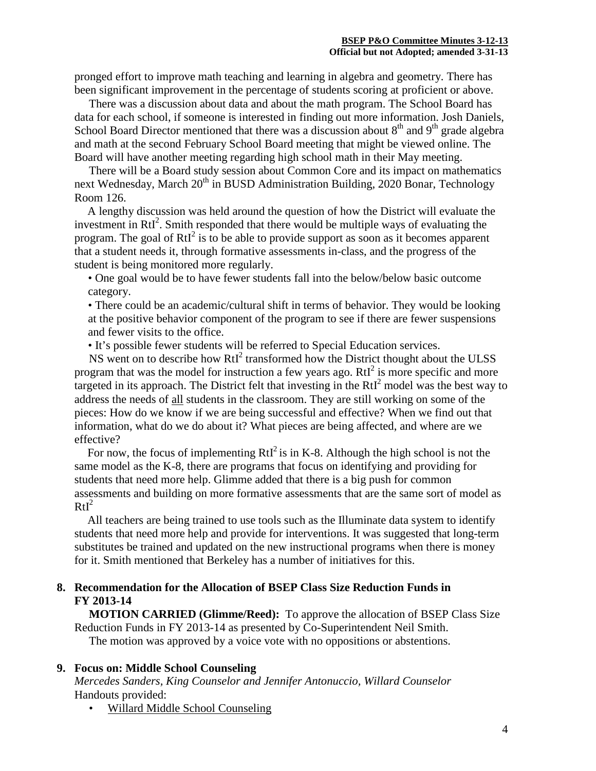pronged effort to improve math teaching and learning in algebra and geometry. There has been significant improvement in the percentage of students scoring at proficient or above.

 There was a discussion about data and about the math program. The School Board has data for each school, if someone is interested in finding out more information. Josh Daniels, School Board Director mentioned that there was a discussion about  $8<sup>th</sup>$  and  $9<sup>th</sup>$  grade algebra and math at the second February School Board meeting that might be viewed online. The Board will have another meeting regarding high school math in their May meeting.

 There will be a Board study session about Common Core and its impact on mathematics next Wednesday, March  $20^{th}$  in BUSD Administration Building, 2020 Bonar, Technology Room 126.

A lengthy discussion was held around the question of how the District will evaluate the investment in  $RtI<sup>2</sup>$ . Smith responded that there would be multiple ways of evaluating the program. The goal of RtI<sup>2</sup> is to be able to provide support as soon as it becomes apparent that a student needs it, through formative assessments in-class, and the progress of the student is being monitored more regularly.

• One goal would be to have fewer students fall into the below/below basic outcome category.

• There could be an academic/cultural shift in terms of behavior. They would be looking at the positive behavior component of the program to see if there are fewer suspensions and fewer visits to the office.

• It's possible fewer students will be referred to Special Education services.

NS went on to describe how RtI<sup>2</sup> transformed how the District thought about the ULSS program that was the model for instruction a few years ago.  $RtI<sup>2</sup>$  is more specific and more targeted in its approach. The District felt that investing in the  $RtI<sup>2</sup>$  model was the best way to address the needs of all students in the classroom. They are still working on some of the pieces: How do we know if we are being successful and effective? When we find out that information, what do we do about it? What pieces are being affected, and where are we effective?

For now, the focus of implementing  $RtI^2$  is in K-8. Although the high school is not the same model as the K-8, there are programs that focus on identifying and providing for students that need more help. Glimme added that there is a big push for common assessments and building on more formative assessments that are the same sort of model as  $RtI<sup>2</sup>$ 

All teachers are being trained to use tools such as the Illuminate data system to identify students that need more help and provide for interventions. It was suggested that long-term substitutes be trained and updated on the new instructional programs when there is money for it. Smith mentioned that Berkeley has a number of initiatives for this.

### **8. Recommendation for the Allocation of BSEP Class Size Reduction Funds in FY 2013-14**

 **MOTION CARRIED (Glimme/Reed):** To approve the allocation of BSEP Class Size Reduction Funds in FY 2013-14 as presented by Co-Superintendent Neil Smith. The motion was approved by a voice vote with no oppositions or abstentions.

## **9. Focus on: Middle School Counseling**

*Mercedes Sanders, King Counselor and Jennifer Antonuccio, Willard Counselor* Handouts provided:

• Willard Middle School Counseling